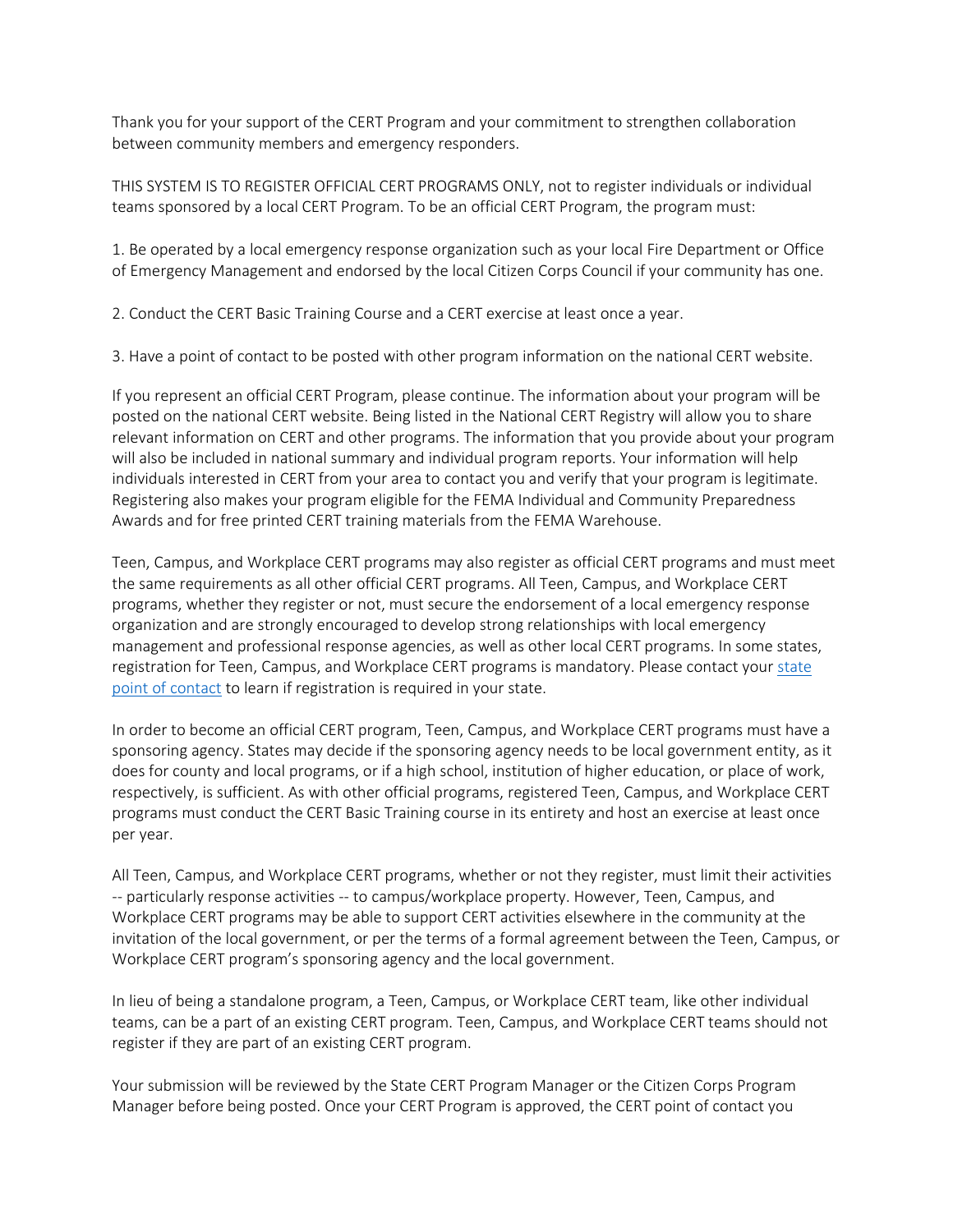Thank you for your support of the CERT Program and your commitment to strengthen collaboration between community members and emergency responders.

 THIS SYSTEM IS TO REGISTER OFFICIAL CERT PROGRAMS ONLY, not to register individuals or individual teams sponsored by a local CERT Program. To be an official CERT Program, the program must:

1. Be operated by a local emergency response organization such as your local Fire Department or Office of Emergency Management and endorsed by the local Citizen Corps Council if your community has one.

2. Conduct the CERT Basic Training Course and a CERT exercise at least once a year.

3. Have a point of contact to be posted with other program information on the national CERT website.

Awards and for free printed CERT training materials from the FEMA Warehouse. If you represent an official CERT Program, please continue. The information about your program will be posted on the national CERT website. Being listed in the National CERT Registry will allow you to share relevant information on CERT and other programs. The information that you provide about your program will also be included in national summary and individual program reports. Your information will help individuals interested in CERT from your area to contact you and verify that your program is legitimate. Registering also makes your program eligible for the FEMA Individual and Community Preparedness

 programs, whether they register or not, must secure the endorsement of a local emergency response [point of contact t](http://www.citizencorps.fema.gov/cc/listCouncil.do?submitByState&stateOnly)o learn if registration is required in your state. Teen, Campus, and Workplace CERT programs may also register as official CERT programs and must meet the same requirements as all other official CERT programs. All Teen, Campus, and Workplace CERT organization and are strongly encouraged to develop strong relationships with local emergency management and professional response agencies, as well as other local CERT programs. In some states, registration for Teen, Campus, and Workplace CERT programs is mandatory. Please contact your state

 sponsoring agency. States may decide if the sponsoring agency needs to be local government entity, as it In order to become an official CERT program, Teen, Campus, and Workplace CERT programs must have a does for county and local programs, or if a high school, institution of higher education, or place of work, respectively, is sufficient. As with other official programs, registered Teen, Campus, and Workplace CERT programs must conduct the CERT Basic Training course in its entirety and host an exercise at least once per year.

 -- particularly response activities -- to campus/workplace property. However, Teen, Campus, and Workplace CERT programs may be able to support CERT activities elsewhere in the community at the All Teen, Campus, and Workplace CERT programs, whether or not they register, must limit their activities invitation of the local government, or per the terms of a formal agreement between the Teen, Campus, or Workplace CERT program's sponsoring agency and the local government.

 teams, can be a part of an existing CERT program. Teen, Campus, and Workplace CERT teams should not register if they are part of an existing CERT program. In lieu of being a standalone program, a Teen, Campus, or Workplace CERT team, like other individual

 Manager before being posted. Once your CERT Program is approved, the CERT point of contact you Your submission will be reviewed by the State CERT Program Manager or the Citizen Corps Program